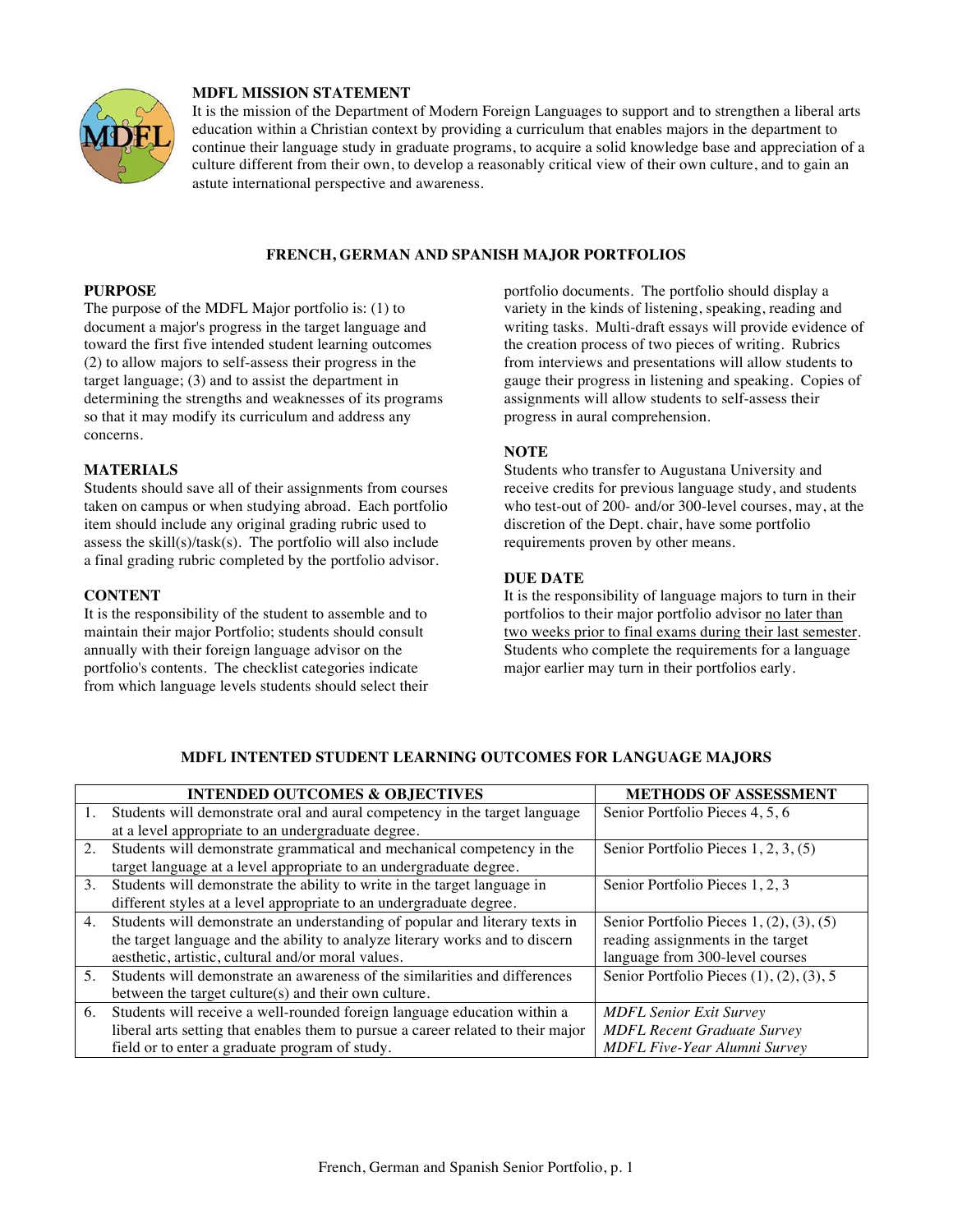

## **MDFL MISSION STATEMENT**

It is the mission of the Department of Modern Foreign Languages to support and to strengthen a liberal arts education within a Christian context by providing a curriculum that enables majors in the department to continue their language study in graduate programs, to acquire a solid knowledge base and appreciation of a culture different from their own, to develop a reasonably critical view of their own culture, and to gain an astute international perspective and awareness.

# **FRENCH, GERMAN AND SPANISH MAJOR PORTFOLIOS**

# **PURPOSE**

The purpose of the MDFL Major portfolio is: (1) to document a major's progress in the target language and toward the first five intended student learning outcomes (2) to allow majors to self-assess their progress in the target language; (3) and to assist the department in determining the strengths and weaknesses of its programs so that it may modify its curriculum and address any concerns.

# **MATERIALS**

Students should save all of their assignments from courses taken on campus or when studying abroad. Each portfolio item should include any original grading rubric used to assess the skill(s)/task(s). The portfolio will also include a final grading rubric completed by the portfolio advisor.

## **CONTENT**

It is the responsibility of the student to assemble and to maintain their major Portfolio; students should consult annually with their foreign language advisor on the portfolio's contents. The checklist categories indicate from which language levels students should select their portfolio documents. The portfolio should display a variety in the kinds of listening, speaking, reading and writing tasks. Multi-draft essays will provide evidence of the creation process of two pieces of writing. Rubrics from interviews and presentations will allow students to gauge their progress in listening and speaking. Copies of assignments will allow students to self-assess their progress in aural comprehension.

# **NOTE**

Students who transfer to Augustana University and receive credits for previous language study, and students who test-out of 200- and/or 300-level courses, may, at the discretion of the Dept. chair, have some portfolio requirements proven by other means.

# **DUE DATE**

It is the responsibility of language majors to turn in their portfolios to their major portfolio advisor no later than two weeks prior to final exams during their last semester. Students who complete the requirements for a language major earlier may turn in their portfolios early.

|    | <b>INTENDED OUTCOMES &amp; OBJECTIVES</b>                                        | <b>METHODS OF ASSESSMENT</b>               |
|----|----------------------------------------------------------------------------------|--------------------------------------------|
|    | Students will demonstrate oral and aural competency in the target language       | Senior Portfolio Pieces 4, 5, 6            |
|    | at a level appropriate to an undergraduate degree.                               |                                            |
| 2. | Students will demonstrate grammatical and mechanical competency in the           | Senior Portfolio Pieces 1, 2, 3, (5)       |
|    | target language at a level appropriate to an undergraduate degree.               |                                            |
| 3. | Students will demonstrate the ability to write in the target language in         | Senior Portfolio Pieces 1, 2, 3            |
|    | different styles at a level appropriate to an undergraduate degree.              |                                            |
| 4. | Students will demonstrate an understanding of popular and literary texts in      | Senior Portfolio Pieces $1, (2), (3), (5)$ |
|    | the target language and the ability to analyze literary works and to discern     | reading assignments in the target          |
|    | aesthetic, artistic, cultural and/or moral values.                               | language from 300-level courses            |
| 5. | Students will demonstrate an awareness of the similarities and differences       | Senior Portfolio Pieces (1), (2), (3), 5   |
|    | between the target culture(s) and their own culture.                             |                                            |
| 6. | Students will receive a well-rounded foreign language education within a         | <b>MDFL Senior Exit Survey</b>             |
|    | liberal arts setting that enables them to pursue a career related to their major | <b>MDFL Recent Graduate Survey</b>         |
|    | field or to enter a graduate program of study.                                   | <b>MDFL Five-Year Alumni Survey</b>        |

# **MDFL INTENTED STUDENT LEARNING OUTCOMES FOR LANGUAGE MAJORS**